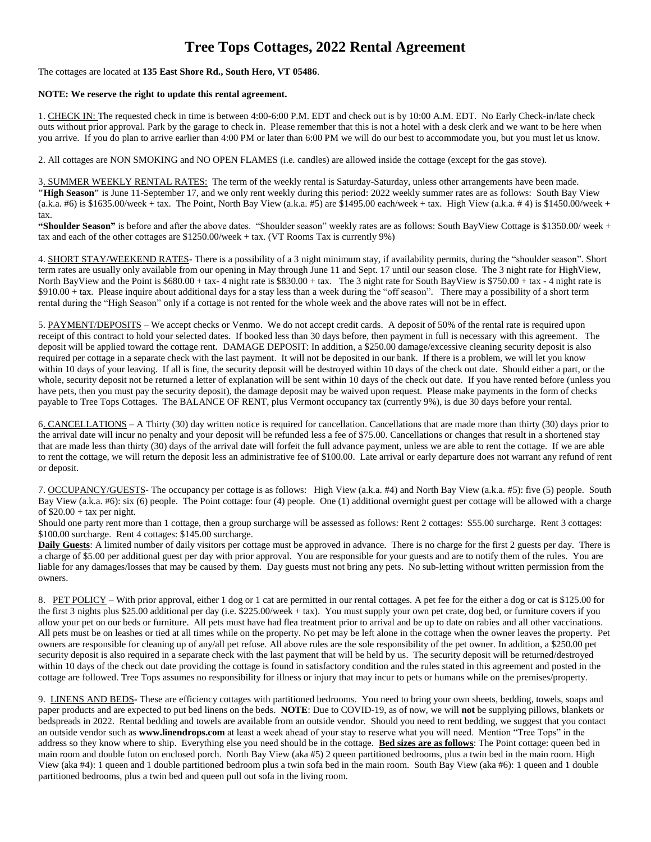## **Tree Tops Cottages, 2022 Rental Agreement**

The cottages are located at **135 East Shore Rd., South Hero, VT 05486**.

## **NOTE: We reserve the right to update this rental agreement.**

1. CHECK IN: The requested check in time is between 4:00-6:00 P.M. EDT and check out is by 10:00 A.M. EDT. No Early Check-in/late check outs without prior approval. Park by the garage to check in. Please remember that this is not a hotel with a desk clerk and we want to be here when you arrive. If you do plan to arrive earlier than 4:00 PM or later than 6:00 PM we will do our best to accommodate you, but you must let us know.

2. All cottages are NON SMOKING and NO OPEN FLAMES (i.e. candles) are allowed inside the cottage (except for the gas stove).

3. SUMMER WEEKLY RENTAL RATES: The term of the weekly rental is Saturday-Saturday, unless other arrangements have been made. **"High Season"** is June 11-September 17, and we only rent weekly during this period: 2022 weekly summer rates are as follows: South Bay View  $(a.k.a. #6)$  is \$1635.00/week + tax. The Point, North Bay View  $(a.k.a. #5)$  are \$1495.00 each/week + tax. High View  $(a.k.a. #4)$  is \$1450.00/week + tax.

**"Shoulder Season"** is before and after the above dates. "Shoulder season" weekly rates are as follows: South BayView Cottage is \$1350.00/ week + tax and each of the other cottages are \$1250.00/week + tax. (VT Rooms Tax is currently 9%)

4. SHORT STAY/WEEKEND RATES- There is a possibility of a 3 night minimum stay, if availability permits, during the "shoulder season". Short term rates are usually only available from our opening in May through June 11 and Sept. 17 until our season close. The 3 night rate for HighView, North BayView and the Point is \$680.00 + tax- 4 night rate is \$830.00 + tax. The 3 night rate for South BayView is \$750.00 + tax - 4 night rate is \$910.00 + tax. Please inquire about additional days for a stay less than a week during the "off season". There may a possibility of a short term rental during the "High Season" only if a cottage is not rented for the whole week and the above rates will not be in effect.

5. PAYMENT/DEPOSITS – We accept checks or Venmo. We do not accept credit cards. A deposit of 50% of the rental rate is required upon receipt of this contract to hold your selected dates. If booked less than 30 days before, then payment in full is necessary with this agreement. The deposit will be applied toward the cottage rent. DAMAGE DEPOSIT: In addition, a \$250.00 damage/excessive cleaning security deposit is also required per cottage in a separate check with the last payment. It will not be deposited in our bank. If there is a problem, we will let you know within 10 days of your leaving. If all is fine, the security deposit will be destroyed within 10 days of the check out date. Should either a part, or the whole, security deposit not be returned a letter of explanation will be sent within 10 days of the check out date. If you have rented before (unless you have pets, then you must pay the security deposit), the damage deposit may be waived upon request. Please make payments in the form of checks payable to Tree Tops Cottages. The BALANCE OF RENT, plus Vermont occupancy tax (currently 9%), is due 30 days before your rental.

6. CANCELLATIONS – A Thirty (30) day written notice is required for cancellation. Cancellations that are made more than thirty (30) days prior to the arrival date will incur no penalty and your deposit will be refunded less a fee of \$75.00. Cancellations or changes that result in a shortened stay that are made less than thirty (30) days of the arrival date will forfeit the full advance payment, unless we are able to rent the cottage. If we are able to rent the cottage, we will return the deposit less an administrative fee of \$100.00. Late arrival or early departure does not warrant any refund of rent or deposit.

7. OCCUPANCY/GUESTS- The occupancy per cottage is as follows: High View (a.k.a. #4) and North Bay View (a.k.a. #5): five (5) people. South Bay View (a.k.a. #6): six (6) people. The Point cottage: four (4) people. One (1) additional overnight guest per cottage will be allowed with a charge of  $$20.00 + tax$  per night.

Should one party rent more than 1 cottage, then a group surcharge will be assessed as follows: Rent 2 cottages: \$55.00 surcharge. Rent 3 cottages: \$100.00 surcharge. Rent 4 cottages: \$145.00 surcharge.

**Daily Guests**: A limited number of daily visitors per cottage must be approved in advance. There is no charge for the first 2 guests per day. There is a charge of \$5.00 per additional guest per day with prior approval. You are responsible for your guests and are to notify them of the rules. You are liable for any damages/losses that may be caused by them. Day guests must not bring any pets. No sub-letting without written permission from the owners.

8. PET POLICY – With prior approval, either 1 dog or 1 cat are permitted in our rental cottages. A pet fee for the either a dog or cat is \$125.00 for the first 3 nights plus \$25.00 additional per day (i.e. \$225.00/week + tax). You must supply your own pet crate, dog bed, or furniture covers if you allow your pet on our beds or furniture. All pets must have had flea treatment prior to arrival and be up to date on rabies and all other vaccinations. All pets must be on leashes or tied at all times while on the property. No pet may be left alone in the cottage when the owner leaves the property. Pet owners are responsible for cleaning up of any/all pet refuse. All above rules are the sole responsibility of the pet owner. In addition, a \$250.00 pet security deposit is also required in a separate check with the last payment that will be held by us. The security deposit will be returned/destroyed within 10 days of the check out date providing the cottage is found in satisfactory condition and the rules stated in this agreement and posted in the cottage are followed. Tree Tops assumes no responsibility for illness or injury that may incur to pets or humans while on the premises/property.

9. LINENS AND BEDS- These are efficiency cottages with partitioned bedrooms. You need to bring your own sheets, bedding, towels, soaps and paper products and are expected to put bed linens on the beds. **NOTE**: Due to COVID-19, as of now, we will **not** be supplying pillows, blankets or bedspreads in 2022. Rental bedding and towels are available from an outside vendor. Should you need to rent bedding, we suggest that you contact an outside vendor such as **www.linendrops.com** at least a week ahead of your stay to reserve what you will need. Mention "Tree Tops" in the address so they know where to ship. Everything else you need should be in the cottage. **Bed sizes are as follows**: The Point cottage: queen bed in main room and double futon on enclosed porch. North Bay View (aka #5) 2 queen partitioned bedrooms, plus a twin bed in the main room. High View (aka #4): 1 queen and 1 double partitioned bedroom plus a twin sofa bed in the main room. South Bay View (aka #6): 1 queen and 1 double partitioned bedrooms, plus a twin bed and queen pull out sofa in the living room.